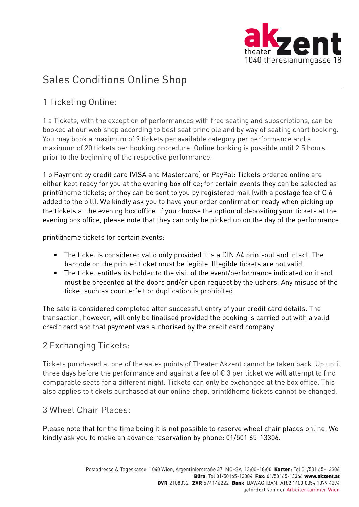

# Sales Conditions Online Shop

# 1 Ticketing Online:

1 a Tickets, with the exception of performances with free seating and subscriptions, can be booked at our web shop according to best seat principle and by way of seating chart booking. You may book a maximum of 9 tickets per available category per performance and a maximum of 20 tickets per booking procedure. Online booking is possible until 2.5 hours prior to the beginning of the respective performance.

1 b Payment by credit card (VISA and Mastercard) or PayPal: Tickets ordered online are either kept ready for you at the evening box office; for certain events they can be selected as print@home tickets; or they can be sent to you by registered mail (with a postage fee of  $\epsilon$  6 added to the bill). We kindly ask you to have your order confirmation ready when picking up the tickets at the evening box office. If you choose the option of depositing your tickets at the evening box office, please note that they can only be picked up on the day of the performance.

print@home tickets for certain events:

- The ticket is considered valid only provided it is a DIN A4 print-out and intact. The barcode on the printed ticket must be legible. Illegible tickets are not valid.
- The ticket entitles its holder to the visit of the event/performance indicated on it and must be presented at the doors and/or upon request by the ushers. Any misuse of the ticket such as counterfeit or duplication is prohibited.

The sale is considered completed after successful entry of your credit card details. The transaction, however, will only be finalised provided the booking is carried out with a valid credit card and that payment was authorised by the credit card company.

## 2 Exchanging Tickets:

Tickets purchased at one of the sales points of Theater Akzent cannot be taken back. Up until three days before the performance and against a fee of  $\epsilon$  3 per ticket we will attempt to find comparable seats for a different night. Tickets can only be exchanged at the box office. This also applies to tickets purchased at our online shop. print@home tickets cannot be changed.

#### 3 Wheel Chair Places:

Please note that for the time being it is not possible to reserve wheel chair places online. We kindly ask you to make an advance reservation by phone: 01/501 65-13306.